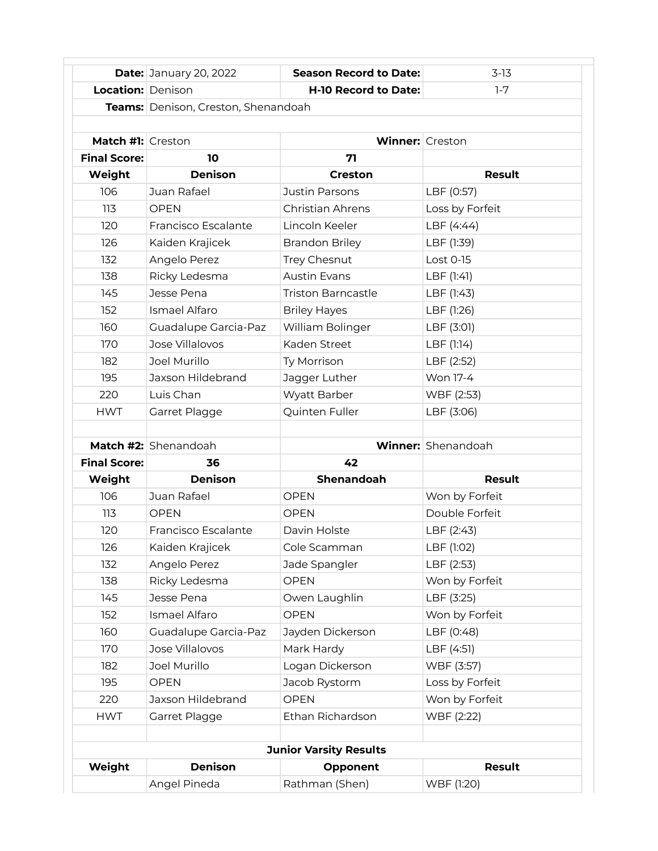|                               | <b>Date: January 20, 2022</b>       | <b>Season Record to Date:</b> | $3-13$                    |  |
|-------------------------------|-------------------------------------|-------------------------------|---------------------------|--|
| Location: Denison             |                                     | <b>H-10 Record to Date:</b>   | $1 - 7$                   |  |
|                               | Teams: Denison, Creston, Shenandoah |                               |                           |  |
|                               |                                     |                               |                           |  |
| Match #1: Creston             |                                     | <b>Winner:</b> Creston        |                           |  |
| <b>Final Score:</b>           | 10                                  | 71                            |                           |  |
| Weight                        | <b>Denison</b>                      | Creston                       | <b>Result</b>             |  |
| 106                           | Juan Rafael                         | Justin Parsons                | LBF (0:57)                |  |
| 113                           | OPFN                                | Christian Ahrens              | Loss by Forfeit           |  |
| 120                           | Francisco Escalante                 | Lincoln Keeler                | LBF (4:44)                |  |
| 126                           | Kaiden Krajicek                     | <b>Brandon Briley</b>         | LBF (1:39)                |  |
| 132                           | Angelo Perez                        | Trey Chesnut                  | Lost 0-15                 |  |
| 138                           | Ricky Ledesma                       | <b>Austin Evans</b>           | LBF (1:41)                |  |
| 145                           | Jesse Pena                          | <b>Triston Barncastle</b>     | LBF (1:43)                |  |
| 152                           | Ismael Alfaro                       | <b>Briley Hayes</b>           | LBF (1:26)                |  |
| 160                           | Guadalupe Garcia-Paz                | William Bolinger              | LBF (3:01)                |  |
| 170                           | Jose Villalovos                     | Kaden Street                  | LBF (1:14)                |  |
| 182                           | Joel Murillo                        | Ty Morrison                   | LBF (2:52)                |  |
| 195                           | Jaxson Hildebrand                   | Jagger Luther                 | Won 17-4                  |  |
| 220                           | Luis Chan                           | Wyatt Barber                  | WBF (2:53)                |  |
| <b>HWT</b>                    | Garret Plagge                       | Quinten Fuller                | LBF (3:06)                |  |
|                               |                                     |                               |                           |  |
|                               | Match #2: Shenandoah                |                               | <b>Winner:</b> Shenandoah |  |
| <b>Final Score:</b>           | 36                                  | 42                            |                           |  |
| Weight                        | <b>Denison</b>                      | <b>Shenandoah</b>             | <b>Result</b>             |  |
| 106                           | Juan Rafael                         | <b>OPEN</b>                   | Won by Forfeit            |  |
| 113                           | <b>OPEN</b>                         | <b>OPEN</b>                   | Double Forfeit            |  |
| 120                           | Francisco Escalante                 | Davin Holste                  | LBF (2:43)                |  |
| 126                           | Kaiden Krajicek                     | Cole Scamman                  | LBF (1:02)                |  |
| 132                           | Angelo Perez                        | Jade Spangler                 | LBF (2:53)                |  |
| 138                           | Ricky Ledesma                       | <b>OPEN</b>                   | Won by Forfeit            |  |
| 145                           | Jesse Pena                          | Owen Laughlin                 | LBF (3:25)                |  |
| 152                           | Ismael Alfaro                       | <b>OPEN</b>                   | Won by Forfeit            |  |
| 160                           | Guadalupe Garcia-Paz                | Jayden Dickerson              | LBF (0:48)                |  |
| 170                           | Jose Villalovos                     | Mark Hardy                    | LBF (4:51)                |  |
| 182                           | Joel Murillo                        | Logan Dickerson               | WBF (3:57)                |  |
| 195                           | <b>OPEN</b>                         | Jacob Rystorm                 | Loss by Forfeit           |  |
| 220                           | Jaxson Hildebrand                   | <b>OPEN</b>                   | Won by Forfeit            |  |
| <b>HWT</b>                    | Garret Plagge                       | Ethan Richardson              | WBF (2:22)                |  |
|                               |                                     |                               |                           |  |
| <b>Junior Varsity Results</b> |                                     |                               |                           |  |
| Weight                        | <b>Denison</b>                      | Opponent                      | Result                    |  |
|                               | Angel Pineda                        | Rathman (Shen)                | WBF (1:20)                |  |
|                               |                                     |                               |                           |  |